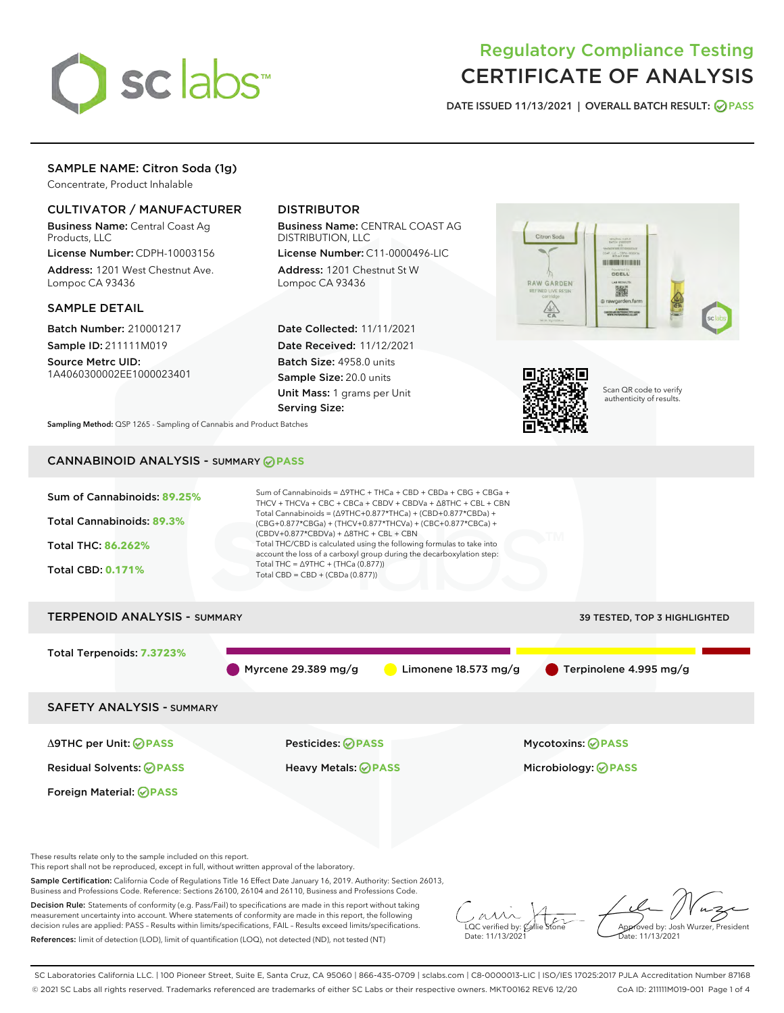

# Regulatory Compliance Testing CERTIFICATE OF ANALYSIS

DATE ISSUED 11/13/2021 | OVERALL BATCH RESULT: @ PASS

## SAMPLE NAME: Citron Soda (1g)

Concentrate, Product Inhalable

## CULTIVATOR / MANUFACTURER

Business Name: Central Coast Ag Products, LLC

License Number: CDPH-10003156 Address: 1201 West Chestnut Ave. Lompoc CA 93436

#### SAMPLE DETAIL

Batch Number: 210001217 Sample ID: 211111M019

Source Metrc UID: 1A4060300002EE1000023401

## DISTRIBUTOR

Business Name: CENTRAL COAST AG DISTRIBUTION, LLC

License Number: C11-0000496-LIC Address: 1201 Chestnut St W Lompoc CA 93436

Date Collected: 11/11/2021 Date Received: 11/12/2021 Batch Size: 4958.0 units Sample Size: 20.0 units Unit Mass: 1 grams per Unit Serving Size:





Scan QR code to verify authenticity of results.

Sampling Method: QSP 1265 - Sampling of Cannabis and Product Batches

## CANNABINOID ANALYSIS - SUMMARY **PASS**



Decision Rule: Statements of conformity (e.g. Pass/Fail) to specifications are made in this report without taking measurement uncertainty into account. Where statements of conformity are made in this report, the following decision rules are applied: PASS – Results within limits/specifications, FAIL – Results exceed limits/specifications. References: limit of detection (LOD), limit of quantification (LOQ), not detected (ND), not tested (NT)

 $\overline{\text{LOC}}$  verified by:  $\mathcal{C}_i$ Date: 11/13/202 $^{\circ}$ 

Approved by: Josh Wurzer, President Date: 11/13/2021

SC Laboratories California LLC. | 100 Pioneer Street, Suite E, Santa Cruz, CA 95060 | 866-435-0709 | sclabs.com | C8-0000013-LIC | ISO/IES 17025:2017 PJLA Accreditation Number 87168 © 2021 SC Labs all rights reserved. Trademarks referenced are trademarks of either SC Labs or their respective owners. MKT00162 REV6 12/20 CoA ID: 211111M019-001 Page 1 of 4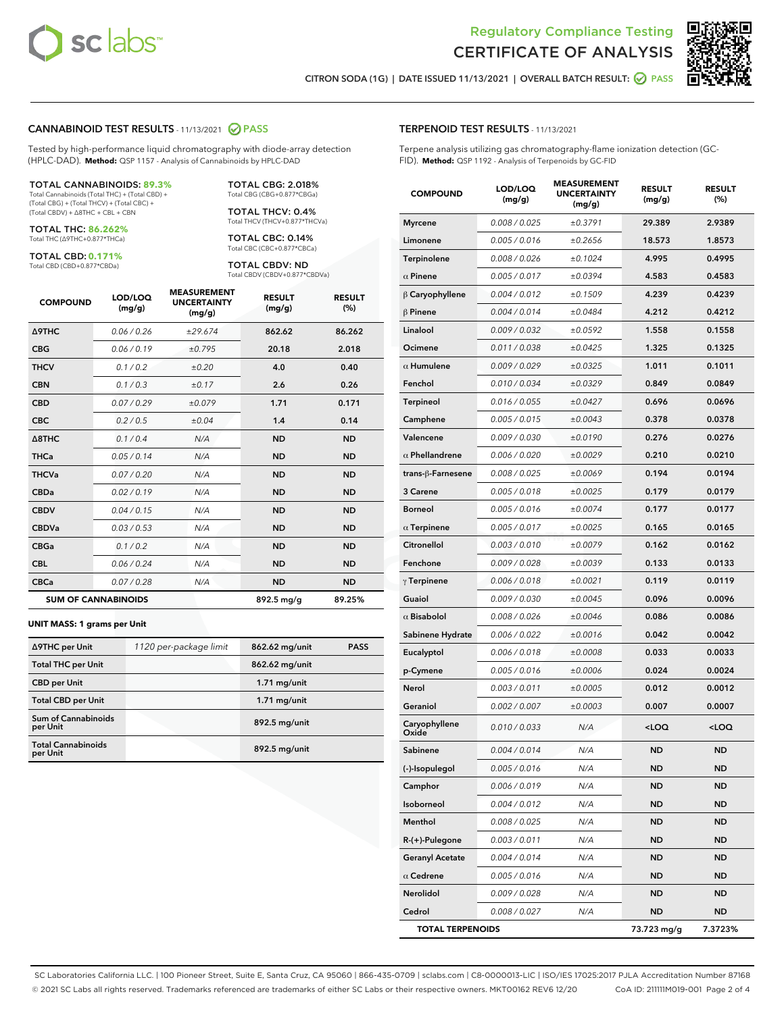

Terpene analysis utilizing gas chromatography-flame ionization detection (GC-



CITRON SODA (1G) | DATE ISSUED 11/13/2021 | OVERALL BATCH RESULT: @ PASS

TERPENOID TEST RESULTS - 11/13/2021

FID). **Method:** QSP 1192 - Analysis of Terpenoids by GC-FID

#### CANNABINOID TEST RESULTS - 11/13/2021 2 PASS

Tested by high-performance liquid chromatography with diode-array detection (HPLC-DAD). **Method:** QSP 1157 - Analysis of Cannabinoids by HPLC-DAD

#### TOTAL CANNABINOIDS: **89.3%**

Total Cannabinoids (Total THC) + (Total CBD) + (Total CBG) + (Total THCV) + (Total CBC) + (Total CBDV) + ∆8THC + CBL + CBN

TOTAL THC: **86.262%** Total THC (∆9THC+0.877\*THCa)

TOTAL CBD: **0.171%**

Total CBD (CBD+0.877\*CBDa)

TOTAL CBG: 2.018% Total CBG (CBG+0.877\*CBGa)

TOTAL THCV: 0.4% Total THCV (THCV+0.877\*THCVa)

TOTAL CBC: 0.14% Total CBC (CBC+0.877\*CBCa)

TOTAL CBDV: ND Total CBDV (CBDV+0.877\*CBDVa)

| <b>COMPOUND</b>            | LOD/LOQ<br>(mg/g) | <b>MEASUREMENT</b><br><b>UNCERTAINTY</b><br>(mg/g) | <b>RESULT</b><br>(mg/g) | <b>RESULT</b><br>(%) |
|----------------------------|-------------------|----------------------------------------------------|-------------------------|----------------------|
| <b>A9THC</b>               | 0.06/0.26         | ±29.674                                            | 862.62                  | 86.262               |
| <b>CBG</b>                 | 0.06/0.19         | ±0.795                                             | 20.18                   | 2.018                |
| <b>THCV</b>                | 0.1/0.2           | ±0.20                                              | 4.0                     | 0.40                 |
| <b>CBN</b>                 | 0.1/0.3           | ±0.17                                              | 2.6                     | 0.26                 |
| <b>CBD</b>                 | 0.07/0.29         | ±0.079                                             | 1.71                    | 0.171                |
| <b>CBC</b>                 | 0.2 / 0.5         | ±0.04                                              | 1.4                     | 0.14                 |
| $\triangle$ 8THC           | 0.1/0.4           | N/A                                                | <b>ND</b>               | <b>ND</b>            |
| <b>THCa</b>                | 0.05/0.14         | N/A                                                | <b>ND</b>               | <b>ND</b>            |
| <b>THCVa</b>               | 0.07 / 0.20       | N/A                                                | <b>ND</b>               | <b>ND</b>            |
| <b>CBDa</b>                | 0.02/0.19         | N/A                                                | <b>ND</b>               | <b>ND</b>            |
| <b>CBDV</b>                | 0.04 / 0.15       | N/A                                                | <b>ND</b>               | <b>ND</b>            |
| <b>CBDVa</b>               | 0.03/0.53         | N/A                                                | <b>ND</b>               | <b>ND</b>            |
| <b>CBGa</b>                | 0.1/0.2           | N/A                                                | <b>ND</b>               | <b>ND</b>            |
| <b>CBL</b>                 | 0.06 / 0.24       | N/A                                                | <b>ND</b>               | <b>ND</b>            |
| <b>CBCa</b>                | 0.07/0.28         | N/A                                                | <b>ND</b>               | <b>ND</b>            |
| <b>SUM OF CANNABINOIDS</b> |                   |                                                    | 892.5 mg/g              | 89.25%               |

#### **UNIT MASS: 1 grams per Unit**

| ∆9THC per Unit                         | 1120 per-package limit | 862.62 mg/unit | <b>PASS</b> |
|----------------------------------------|------------------------|----------------|-------------|
| <b>Total THC per Unit</b>              |                        | 862.62 mg/unit |             |
| <b>CBD per Unit</b>                    |                        | $1.71$ mg/unit |             |
| <b>Total CBD per Unit</b>              |                        | $1.71$ mg/unit |             |
| <b>Sum of Cannabinoids</b><br>per Unit |                        | 892.5 mg/unit  |             |
| <b>Total Cannabinoids</b><br>per Unit  |                        | 892.5 mg/unit  |             |

| <b>COMPOUND</b>         | LOD/LOQ<br>(mg/g) | <b>MEASUREMENT</b><br><b>UNCERTAINTY</b><br>(mg/g) | <b>RESULT</b><br>(mg/g) | <b>RESULT</b><br>$(\%)$ |
|-------------------------|-------------------|----------------------------------------------------|-------------------------|-------------------------|
| <b>Myrcene</b>          | 0.008 / 0.025     | ±0.3791                                            | 29.389                  | 2.9389                  |
| Limonene                | 0.005 / 0.016     | ±0.2656                                            | 18.573                  | 1.8573                  |
| Terpinolene             | 0.008 / 0.026     | ±0.1024                                            | 4.995                   | 0.4995                  |
| $\alpha$ Pinene         | 0.005 / 0.017     | ±0.0394                                            | 4.583                   | 0.4583                  |
| $\beta$ Caryophyllene   | 0.004 / 0.012     | ±0.1509                                            | 4.239                   | 0.4239                  |
| $\beta$ Pinene          | 0.004 / 0.014     | ±0.0484                                            | 4.212                   | 0.4212                  |
| Linalool                | 0.009 / 0.032     | ±0.0592                                            | 1.558                   | 0.1558                  |
| Ocimene                 | 0.011 / 0.038     | ±0.0425                                            | 1.325                   | 0.1325                  |
| $\alpha$ Humulene       | 0.009 / 0.029     | ±0.0325                                            | 1.011                   | 0.1011                  |
| Fenchol                 | 0.010 / 0.034     | ±0.0329                                            | 0.849                   | 0.0849                  |
| Terpineol               | 0.016 / 0.055     | ±0.0427                                            | 0.696                   | 0.0696                  |
| Camphene                | 0.005 / 0.015     | ±0.0043                                            | 0.378                   | 0.0378                  |
| Valencene               | 0.009 / 0.030     | ±0.0190                                            | 0.276                   | 0.0276                  |
| $\alpha$ Phellandrene   | 0.006 / 0.020     | ±0.0029                                            | 0.210                   | 0.0210                  |
| trans-ß-Farnesene       | 0.008 / 0.025     | ±0.0069                                            | 0.194                   | 0.0194                  |
| 3 Carene                | 0.005 / 0.018     | ±0.0025                                            | 0.179                   | 0.0179                  |
| <b>Borneol</b>          | 0.005 / 0.016     | ±0.0074                                            | 0.177                   | 0.0177                  |
| $\alpha$ Terpinene      | 0.005 / 0.017     | ±0.0025                                            | 0.165                   | 0.0165                  |
| Citronellol             | 0.003 / 0.010     | ±0.0079                                            | 0.162                   | 0.0162                  |
| Fenchone                | 0.009 / 0.028     | ±0.0039                                            | 0.133                   | 0.0133                  |
| $\gamma$ Terpinene      | 0.006 / 0.018     | ±0.0021                                            | 0.119                   | 0.0119                  |
| Guaiol                  | 0.009 / 0.030     | ±0.0045                                            | 0.096                   | 0.0096                  |
| $\alpha$ Bisabolol      | 0.008 / 0.026     | ±0.0046                                            | 0.086                   | 0.0086                  |
| Sabinene Hydrate        | 0.006 / 0.022     | ±0.0016                                            | 0.042                   | 0.0042                  |
| Eucalyptol              | 0.006 / 0.018     | ±0.0008                                            | 0.033                   | 0.0033                  |
| p-Cymene                | 0.005 / 0.016     | ±0.0006                                            | 0.024                   | 0.0024                  |
| Nerol                   | 0.003 / 0.011     | ±0.0005                                            | 0.012                   | 0.0012                  |
| Geraniol                | 0.002 / 0.007     | ±0.0003                                            | 0.007                   | 0.0007                  |
| Caryophyllene<br>Oxide  | 0.010 / 0.033     | N/A                                                | 100                     | <loq< th=""></loq<>     |
| Sabinene                | 0.004 / 0.014     | N/A                                                | <b>ND</b>               | <b>ND</b>               |
| (-)-Isopulegol          | 0.005 / 0.016     | N/A                                                | ND                      | ND                      |
| Camphor                 | 0.006 / 0.019     | N/A                                                | <b>ND</b>               | <b>ND</b>               |
| Isoborneol              | 0.004 / 0.012     | N/A                                                | ND                      | <b>ND</b>               |
| Menthol                 | 0.008 / 0.025     | N/A                                                | ND                      | <b>ND</b>               |
| R-(+)-Pulegone          | 0.003 / 0.011     | N/A                                                | <b>ND</b>               | <b>ND</b>               |
| <b>Geranyl Acetate</b>  | 0.004 / 0.014     | N/A                                                | ND                      | <b>ND</b>               |
| $\alpha$ Cedrene        | 0.005 / 0.016     | N/A                                                | ND                      | <b>ND</b>               |
| Nerolidol               | 0.009 / 0.028     | N/A                                                | ND                      | <b>ND</b>               |
| Cedrol                  | 0.008 / 0.027     | N/A                                                | ND                      | ND                      |
| <b>TOTAL TERPENOIDS</b> |                   |                                                    | 73.723 mg/g             | 7.3723%                 |

SC Laboratories California LLC. | 100 Pioneer Street, Suite E, Santa Cruz, CA 95060 | 866-435-0709 | sclabs.com | C8-0000013-LIC | ISO/IES 17025:2017 PJLA Accreditation Number 87168 © 2021 SC Labs all rights reserved. Trademarks referenced are trademarks of either SC Labs or their respective owners. MKT00162 REV6 12/20 CoA ID: 211111M019-001 Page 2 of 4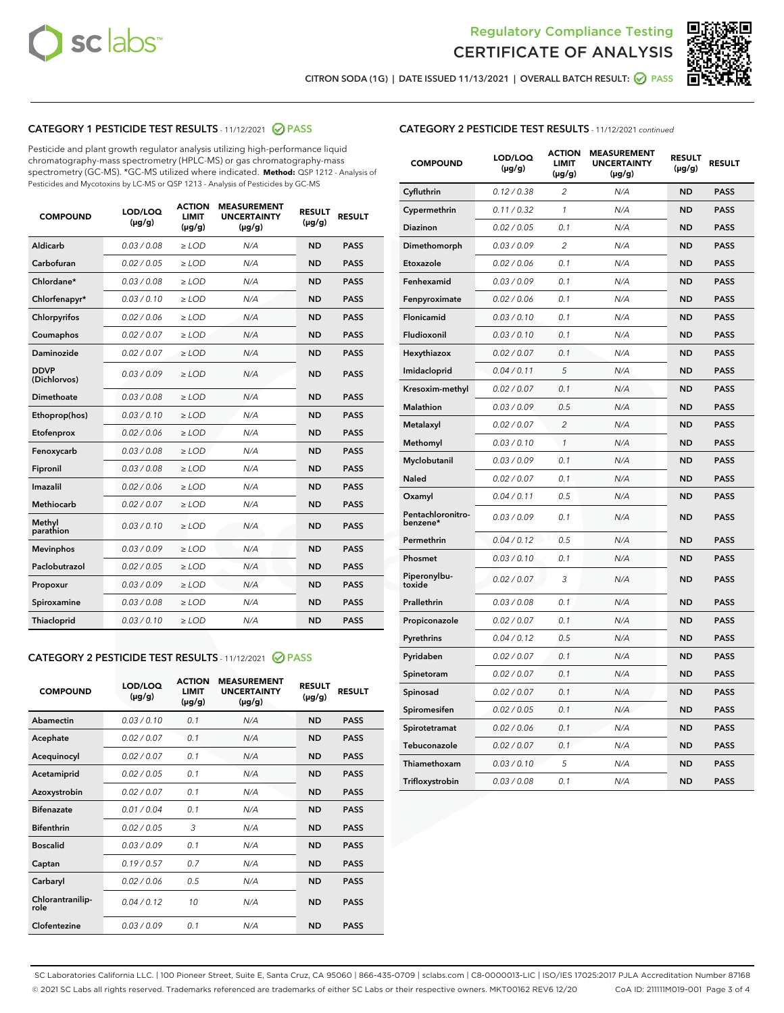



CITRON SODA (1G) | DATE ISSUED 11/13/2021 | OVERALL BATCH RESULT: 2 PASS

## CATEGORY 1 PESTICIDE TEST RESULTS - 11/12/2021 2 PASS

Pesticide and plant growth regulator analysis utilizing high-performance liquid chromatography-mass spectrometry (HPLC-MS) or gas chromatography-mass spectrometry (GC-MS). \*GC-MS utilized where indicated. **Method:** QSP 1212 - Analysis of Pesticides and Mycotoxins by LC-MS or QSP 1213 - Analysis of Pesticides by GC-MS

| 0.03 / 0.08<br><b>ND</b><br><b>PASS</b><br>Aldicarb<br>$\ge$ LOD<br>N/A<br>Carbofuran<br>0.02 / 0.05<br>$\ge$ LOD<br>N/A<br><b>ND</b><br><b>PASS</b><br>Chlordane*<br>0.03 / 0.08<br>$\ge$ LOD<br>N/A<br><b>ND</b><br><b>PASS</b><br>Chlorfenapyr*<br>0.03/0.10<br>$\ge$ LOD<br>N/A<br><b>ND</b><br><b>PASS</b><br>Chlorpyrifos<br>0.02 / 0.06<br>N/A<br><b>ND</b><br><b>PASS</b><br>$\ge$ LOD<br>Coumaphos<br>0.02 / 0.07<br>N/A<br><b>ND</b><br><b>PASS</b><br>$\ge$ LOD<br>Daminozide<br>0.02 / 0.07<br>N/A<br><b>ND</b><br><b>PASS</b><br>$\ge$ LOD<br><b>DDVP</b><br>0.03/0.09<br>$>$ LOD<br>N/A<br><b>ND</b><br><b>PASS</b><br>(Dichlorvos)<br>Dimethoate<br>0.03 / 0.08<br>$\ge$ LOD<br><b>ND</b><br><b>PASS</b><br>N/A<br>0.03/0.10<br>N/A<br><b>ND</b><br><b>PASS</b><br>Ethoprop(hos)<br>$>$ LOD<br>0.02 / 0.06<br>N/A<br><b>ND</b><br><b>PASS</b><br>$\ge$ LOD<br>Etofenprox<br>Fenoxycarb<br>0.03 / 0.08<br>$\ge$ LOD<br>N/A<br><b>ND</b><br><b>PASS</b><br>0.03 / 0.08<br>$\ge$ LOD<br>N/A<br><b>ND</b><br><b>PASS</b><br>Fipronil<br>Imazalil<br>0.02 / 0.06<br>$>$ LOD<br>N/A<br><b>ND</b><br><b>PASS</b><br><b>Methiocarb</b><br>0.02 / 0.07<br>$\ge$ LOD<br>N/A<br><b>ND</b><br><b>PASS</b><br>Methyl<br>0.03/0.10<br>N/A<br><b>ND</b><br><b>PASS</b><br>$\ge$ LOD<br>parathion<br>0.03/0.09<br><b>Mevinphos</b><br>$\ge$ LOD<br>N/A<br><b>ND</b><br><b>PASS</b><br>Paclobutrazol<br>0.02 / 0.05<br>$>$ LOD<br>N/A<br><b>ND</b><br><b>PASS</b><br>0.03/0.09<br>N/A<br>$\ge$ LOD<br><b>ND</b><br><b>PASS</b><br>Propoxur<br>0.03 / 0.08<br><b>ND</b><br><b>PASS</b><br>Spiroxamine<br>$\ge$ LOD<br>N/A<br>Thiacloprid<br>0.03/0.10<br>$\ge$ LOD<br>N/A<br><b>ND</b><br><b>PASS</b> | <b>COMPOUND</b> | LOD/LOQ<br>$(\mu g/g)$ | <b>ACTION</b><br><b>LIMIT</b><br>$(\mu g/g)$ | <b>MEASUREMENT</b><br><b>UNCERTAINTY</b><br>$(\mu g/g)$ | <b>RESULT</b><br>$(\mu g/g)$ | <b>RESULT</b> |
|----------------------------------------------------------------------------------------------------------------------------------------------------------------------------------------------------------------------------------------------------------------------------------------------------------------------------------------------------------------------------------------------------------------------------------------------------------------------------------------------------------------------------------------------------------------------------------------------------------------------------------------------------------------------------------------------------------------------------------------------------------------------------------------------------------------------------------------------------------------------------------------------------------------------------------------------------------------------------------------------------------------------------------------------------------------------------------------------------------------------------------------------------------------------------------------------------------------------------------------------------------------------------------------------------------------------------------------------------------------------------------------------------------------------------------------------------------------------------------------------------------------------------------------------------------------------------------------------------------------------------------------------------------------------------------------------------|-----------------|------------------------|----------------------------------------------|---------------------------------------------------------|------------------------------|---------------|
|                                                                                                                                                                                                                                                                                                                                                                                                                                                                                                                                                                                                                                                                                                                                                                                                                                                                                                                                                                                                                                                                                                                                                                                                                                                                                                                                                                                                                                                                                                                                                                                                                                                                                                    |                 |                        |                                              |                                                         |                              |               |
|                                                                                                                                                                                                                                                                                                                                                                                                                                                                                                                                                                                                                                                                                                                                                                                                                                                                                                                                                                                                                                                                                                                                                                                                                                                                                                                                                                                                                                                                                                                                                                                                                                                                                                    |                 |                        |                                              |                                                         |                              |               |
|                                                                                                                                                                                                                                                                                                                                                                                                                                                                                                                                                                                                                                                                                                                                                                                                                                                                                                                                                                                                                                                                                                                                                                                                                                                                                                                                                                                                                                                                                                                                                                                                                                                                                                    |                 |                        |                                              |                                                         |                              |               |
|                                                                                                                                                                                                                                                                                                                                                                                                                                                                                                                                                                                                                                                                                                                                                                                                                                                                                                                                                                                                                                                                                                                                                                                                                                                                                                                                                                                                                                                                                                                                                                                                                                                                                                    |                 |                        |                                              |                                                         |                              |               |
|                                                                                                                                                                                                                                                                                                                                                                                                                                                                                                                                                                                                                                                                                                                                                                                                                                                                                                                                                                                                                                                                                                                                                                                                                                                                                                                                                                                                                                                                                                                                                                                                                                                                                                    |                 |                        |                                              |                                                         |                              |               |
|                                                                                                                                                                                                                                                                                                                                                                                                                                                                                                                                                                                                                                                                                                                                                                                                                                                                                                                                                                                                                                                                                                                                                                                                                                                                                                                                                                                                                                                                                                                                                                                                                                                                                                    |                 |                        |                                              |                                                         |                              |               |
|                                                                                                                                                                                                                                                                                                                                                                                                                                                                                                                                                                                                                                                                                                                                                                                                                                                                                                                                                                                                                                                                                                                                                                                                                                                                                                                                                                                                                                                                                                                                                                                                                                                                                                    |                 |                        |                                              |                                                         |                              |               |
|                                                                                                                                                                                                                                                                                                                                                                                                                                                                                                                                                                                                                                                                                                                                                                                                                                                                                                                                                                                                                                                                                                                                                                                                                                                                                                                                                                                                                                                                                                                                                                                                                                                                                                    |                 |                        |                                              |                                                         |                              |               |
|                                                                                                                                                                                                                                                                                                                                                                                                                                                                                                                                                                                                                                                                                                                                                                                                                                                                                                                                                                                                                                                                                                                                                                                                                                                                                                                                                                                                                                                                                                                                                                                                                                                                                                    |                 |                        |                                              |                                                         |                              |               |
|                                                                                                                                                                                                                                                                                                                                                                                                                                                                                                                                                                                                                                                                                                                                                                                                                                                                                                                                                                                                                                                                                                                                                                                                                                                                                                                                                                                                                                                                                                                                                                                                                                                                                                    |                 |                        |                                              |                                                         |                              |               |
|                                                                                                                                                                                                                                                                                                                                                                                                                                                                                                                                                                                                                                                                                                                                                                                                                                                                                                                                                                                                                                                                                                                                                                                                                                                                                                                                                                                                                                                                                                                                                                                                                                                                                                    |                 |                        |                                              |                                                         |                              |               |
|                                                                                                                                                                                                                                                                                                                                                                                                                                                                                                                                                                                                                                                                                                                                                                                                                                                                                                                                                                                                                                                                                                                                                                                                                                                                                                                                                                                                                                                                                                                                                                                                                                                                                                    |                 |                        |                                              |                                                         |                              |               |
|                                                                                                                                                                                                                                                                                                                                                                                                                                                                                                                                                                                                                                                                                                                                                                                                                                                                                                                                                                                                                                                                                                                                                                                                                                                                                                                                                                                                                                                                                                                                                                                                                                                                                                    |                 |                        |                                              |                                                         |                              |               |
|                                                                                                                                                                                                                                                                                                                                                                                                                                                                                                                                                                                                                                                                                                                                                                                                                                                                                                                                                                                                                                                                                                                                                                                                                                                                                                                                                                                                                                                                                                                                                                                                                                                                                                    |                 |                        |                                              |                                                         |                              |               |
|                                                                                                                                                                                                                                                                                                                                                                                                                                                                                                                                                                                                                                                                                                                                                                                                                                                                                                                                                                                                                                                                                                                                                                                                                                                                                                                                                                                                                                                                                                                                                                                                                                                                                                    |                 |                        |                                              |                                                         |                              |               |
|                                                                                                                                                                                                                                                                                                                                                                                                                                                                                                                                                                                                                                                                                                                                                                                                                                                                                                                                                                                                                                                                                                                                                                                                                                                                                                                                                                                                                                                                                                                                                                                                                                                                                                    |                 |                        |                                              |                                                         |                              |               |
|                                                                                                                                                                                                                                                                                                                                                                                                                                                                                                                                                                                                                                                                                                                                                                                                                                                                                                                                                                                                                                                                                                                                                                                                                                                                                                                                                                                                                                                                                                                                                                                                                                                                                                    |                 |                        |                                              |                                                         |                              |               |
|                                                                                                                                                                                                                                                                                                                                                                                                                                                                                                                                                                                                                                                                                                                                                                                                                                                                                                                                                                                                                                                                                                                                                                                                                                                                                                                                                                                                                                                                                                                                                                                                                                                                                                    |                 |                        |                                              |                                                         |                              |               |
|                                                                                                                                                                                                                                                                                                                                                                                                                                                                                                                                                                                                                                                                                                                                                                                                                                                                                                                                                                                                                                                                                                                                                                                                                                                                                                                                                                                                                                                                                                                                                                                                                                                                                                    |                 |                        |                                              |                                                         |                              |               |
|                                                                                                                                                                                                                                                                                                                                                                                                                                                                                                                                                                                                                                                                                                                                                                                                                                                                                                                                                                                                                                                                                                                                                                                                                                                                                                                                                                                                                                                                                                                                                                                                                                                                                                    |                 |                        |                                              |                                                         |                              |               |
|                                                                                                                                                                                                                                                                                                                                                                                                                                                                                                                                                                                                                                                                                                                                                                                                                                                                                                                                                                                                                                                                                                                                                                                                                                                                                                                                                                                                                                                                                                                                                                                                                                                                                                    |                 |                        |                                              |                                                         |                              |               |

#### CATEGORY 2 PESTICIDE TEST RESULTS - 11/12/2021 @ PASS

| <b>COMPOUND</b>          | LOD/LOQ<br>$(\mu g/g)$ | <b>ACTION</b><br><b>LIMIT</b><br>$(\mu g/g)$ | <b>MEASUREMENT</b><br><b>UNCERTAINTY</b><br>$(\mu g/g)$ | <b>RESULT</b><br>$(\mu g/g)$ | <b>RESULT</b> |
|--------------------------|------------------------|----------------------------------------------|---------------------------------------------------------|------------------------------|---------------|
| Abamectin                | 0.03/0.10              | 0.1                                          | N/A                                                     | <b>ND</b>                    | <b>PASS</b>   |
| Acephate                 | 0.02/0.07              | 0.1                                          | N/A                                                     | <b>ND</b>                    | <b>PASS</b>   |
| Acequinocyl              | 0.02/0.07              | 0.1                                          | N/A                                                     | <b>ND</b>                    | <b>PASS</b>   |
| Acetamiprid              | 0.02/0.05              | 0.1                                          | N/A                                                     | <b>ND</b>                    | <b>PASS</b>   |
| Azoxystrobin             | 0 02 / 0 07            | 0.1                                          | N/A                                                     | <b>ND</b>                    | <b>PASS</b>   |
| <b>Bifenazate</b>        | 0.01/0.04              | 0.1                                          | N/A                                                     | <b>ND</b>                    | <b>PASS</b>   |
| <b>Bifenthrin</b>        | 0.02 / 0.05            | 3                                            | N/A                                                     | <b>ND</b>                    | <b>PASS</b>   |
| <b>Boscalid</b>          | 0.03/0.09              | 0.1                                          | N/A                                                     | <b>ND</b>                    | <b>PASS</b>   |
| Captan                   | 0.19/0.57              | 0.7                                          | N/A                                                     | <b>ND</b>                    | <b>PASS</b>   |
| Carbaryl                 | 0.02/0.06              | 0.5                                          | N/A                                                     | <b>ND</b>                    | <b>PASS</b>   |
| Chlorantranilip-<br>role | 0.04/0.12              | 10                                           | N/A                                                     | <b>ND</b>                    | <b>PASS</b>   |
| Clofentezine             | 0.03/0.09              | 0.1                                          | N/A                                                     | <b>ND</b>                    | <b>PASS</b>   |

## CATEGORY 2 PESTICIDE TEST RESULTS - 11/12/2021 continued

| <b>COMPOUND</b>               | LOD/LOQ<br>$(\mu g/g)$ | <b>ACTION</b><br>LIMIT<br>$(\mu g/g)$ | <b>MEASUREMENT</b><br><b>UNCERTAINTY</b><br>$(\mu g/g)$ | <b>RESULT</b><br>(µg/g) | <b>RESULT</b> |
|-------------------------------|------------------------|---------------------------------------|---------------------------------------------------------|-------------------------|---------------|
| Cyfluthrin                    | 0.12 / 0.38            | $\overline{c}$                        | N/A                                                     | <b>ND</b>               | <b>PASS</b>   |
| Cypermethrin                  | 0.11 / 0.32            | 1                                     | N/A                                                     | <b>ND</b>               | <b>PASS</b>   |
| Diazinon                      | 0.02 / 0.05            | 0.1                                   | N/A                                                     | ND                      | <b>PASS</b>   |
| Dimethomorph                  | 0.03 / 0.09            | $\overline{c}$                        | N/A                                                     | ND                      | <b>PASS</b>   |
| Etoxazole                     | 0.02 / 0.06            | 0.1                                   | N/A                                                     | ND                      | <b>PASS</b>   |
| Fenhexamid                    | 0.03 / 0.09            | 0.1                                   | N/A                                                     | ND                      | <b>PASS</b>   |
| Fenpyroximate                 | 0.02 / 0.06            | 0.1                                   | N/A                                                     | <b>ND</b>               | <b>PASS</b>   |
| Flonicamid                    | 0.03 / 0.10            | 0.1                                   | N/A                                                     | <b>ND</b>               | <b>PASS</b>   |
| Fludioxonil                   | 0.03 / 0.10            | 0.1                                   | N/A                                                     | ND                      | <b>PASS</b>   |
| Hexythiazox                   | 0.02 / 0.07            | 0.1                                   | N/A                                                     | <b>ND</b>               | <b>PASS</b>   |
| Imidacloprid                  | 0.04 / 0.11            | 5                                     | N/A                                                     | <b>ND</b>               | <b>PASS</b>   |
| Kresoxim-methyl               | 0.02 / 0.07            | 0.1                                   | N/A                                                     | ND                      | <b>PASS</b>   |
| <b>Malathion</b>              | 0.03 / 0.09            | 0.5                                   | N/A                                                     | <b>ND</b>               | <b>PASS</b>   |
| Metalaxyl                     | 0.02 / 0.07            | $\overline{c}$                        | N/A                                                     | <b>ND</b>               | <b>PASS</b>   |
| Methomyl                      | 0.03 / 0.10            | 1                                     | N/A                                                     | ND                      | <b>PASS</b>   |
| Myclobutanil                  | 0.03/0.09              | 0.1                                   | N/A                                                     | <b>ND</b>               | <b>PASS</b>   |
| Naled                         | 0.02 / 0.07            | 0.1                                   | N/A                                                     | ND                      | <b>PASS</b>   |
| Oxamyl                        | 0.04 / 0.11            | 0.5                                   | N/A                                                     | ND                      | <b>PASS</b>   |
| Pentachloronitro-<br>benzene* | 0.03 / 0.09            | 0.1                                   | N/A                                                     | ND                      | PASS          |
| Permethrin                    | 0.04 / 0.12            | 0.5                                   | N/A                                                     | ND                      | <b>PASS</b>   |
| Phosmet                       | 0.03 / 0.10            | 0.1                                   | N/A                                                     | ND                      | <b>PASS</b>   |
| Piperonylbu-<br>toxide        | 0.02 / 0.07            | 3                                     | N/A                                                     | <b>ND</b>               | <b>PASS</b>   |
| Prallethrin                   | 0.03 / 0.08            | 0.1                                   | N/A                                                     | ND                      | <b>PASS</b>   |
| Propiconazole                 | 0.02 / 0.07            | 0.1                                   | N/A                                                     | ND                      | PASS          |
| Pyrethrins                    | 0.04 / 0.12            | 0.5                                   | N/A                                                     | ND                      | <b>PASS</b>   |
| Pyridaben                     | 0.02 / 0.07            | 0.1                                   | N/A                                                     | ND                      | <b>PASS</b>   |
| Spinetoram                    | 0.02 / 0.07            | 0.1                                   | N/A                                                     | ND                      | PASS          |
| Spinosad                      | 0.02 / 0.07            | 0.1                                   | N/A                                                     | ND                      | PASS          |
| Spiromesifen                  | 0.02 / 0.05            | 0.1                                   | N/A                                                     | ND                      | <b>PASS</b>   |
| Spirotetramat                 | 0.02 / 0.06            | 0.1                                   | N/A                                                     | ND                      | PASS          |
| Tebuconazole                  | 0.02 / 0.07            | 0.1                                   | N/A                                                     | ND                      | <b>PASS</b>   |
| Thiamethoxam                  | 0.03 / 0.10            | 5                                     | N/A                                                     | ND                      | <b>PASS</b>   |
| Trifloxystrobin               | 0.03 / 0.08            | 0.1                                   | N/A                                                     | <b>ND</b>               | <b>PASS</b>   |

SC Laboratories California LLC. | 100 Pioneer Street, Suite E, Santa Cruz, CA 95060 | 866-435-0709 | sclabs.com | C8-0000013-LIC | ISO/IES 17025:2017 PJLA Accreditation Number 87168 © 2021 SC Labs all rights reserved. Trademarks referenced are trademarks of either SC Labs or their respective owners. MKT00162 REV6 12/20 CoA ID: 211111M019-001 Page 3 of 4